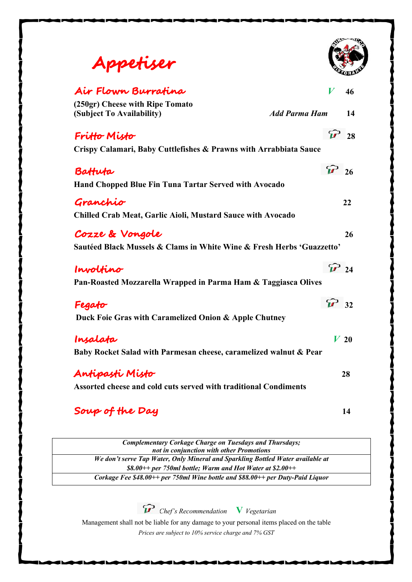| Appetiser                                                             |                      |    |
|-----------------------------------------------------------------------|----------------------|----|
| Air Flown Burratina                                                   | V                    | 46 |
| (250gr) Cheese with Ripe Tomato<br>(Subject To Availability)          | <b>Add Parma Ham</b> | 14 |
| Fritto Misto                                                          |                      | 28 |
| Crispy Calamari, Baby Cuttlefishes & Prawns with Arrabbiata Sauce     |                      |    |
| Battuta                                                               | $\widehat{V}$ 26     |    |
| <b>Hand Chopped Blue Fin Tuna Tartar Served with Avocado</b>          |                      |    |
| Granchio                                                              |                      | 22 |
| <b>Chilled Crab Meat, Garlic Aioli, Mustard Sauce with Avocado</b>    |                      |    |
| Cozze & Vongole                                                       |                      | 26 |
| Sautéed Black Mussels & Clams in White Wine & Fresh Herbs 'Guazzetto' |                      |    |
| Involtino                                                             | $\mathcal{P}$ 24     |    |
| Pan-Roasted Mozzarella Wrapped in Parma Ham & Taggiasca Olives        |                      |    |
| Fegato                                                                | $\widehat{M}$ 32     |    |
| Duck Foie Gras with Caramelized Onion & Apple Chutney                 |                      |    |
| Insalata                                                              | $V_{20}$             |    |
| Baby Rocket Salad with Parmesan cheese, caramelized walnut & Pear     |                      |    |
| Antipasti Misto                                                       |                      | 28 |
| Assorted cheese and cold cuts served with traditional Condiments      |                      |    |
| Soup of the Day                                                       |                      | 14 |

*Complementary Corkage Charge on Tuesdays and Thursdays; not in conjunction with other Promotions We don't serve Tap Water, Only Mineral and Sparkling Bottled Water available at \$8.00++ per 750ml bottle; Warm and Hot Water at \$2.00++ Corkage Fee \$48.00++ per 750ml Wine bottle and \$88.00++ per Duty-Paid Liquor*

*Chef's Recommendation* **V** *Vegetarian*

Management shall not be liable for any damage to your personal items placed on the table *Prices are subject to 10% service charge and 7% GST*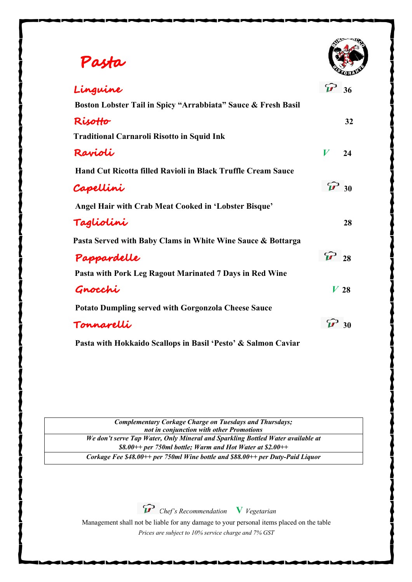# **Pasta**

| Linguine                                                            |                  | 36     |
|---------------------------------------------------------------------|------------------|--------|
| Boston Lobster Tail in Spicy "Arrabbiata" Sauce & Fresh Basil       |                  |        |
| RisoHo                                                              |                  | 32     |
| <b>Traditional Carnaroli Risotto in Squid Ink</b>                   |                  |        |
| Ravioli                                                             | $\boldsymbol{V}$ | 24     |
| <b>Hand Cut Ricotta filled Ravioli in Black Truffle Cream Sauce</b> |                  |        |
| Capellini                                                           | $\widehat{V}$ 30 |        |
| Angel Hair with Crab Meat Cooked in 'Lobster Bisque'                |                  |        |
| Tagliolini                                                          |                  | 28     |
| Pasta Served with Baby Clams in White Wine Sauce & Bottarga         |                  |        |
| Pappardelle                                                         | $\mathbf{V}$ 28  |        |
| Pasta with Pork Leg Ragout Marinated 7 Days in Red Wine             |                  |        |
| Gnocchi                                                             |                  | $V$ 28 |
| <b>Potato Dumpling served with Gorgonzola Cheese Sauce</b>          |                  |        |
| Tonnarelli                                                          |                  | 30     |
|                                                                     |                  |        |

 **Pasta with Hokkaido Scallops in Basil 'Pesto' & Salmon Caviar**

*Complementary Corkage Charge on Tuesdays and Thursdays; not in conjunction with other Promotions We don't serve Tap Water, Only Mineral and Sparkling Bottled Water available at \$8.00++ per 750ml bottle; Warm and Hot Water at \$2.00++ Corkage Fee \$48.00++ per 750ml Wine bottle and \$88.00++ per Duty-Paid Liquor*

*Chef's Recommendation* **V** *Vegetarian*

Management shall not be liable for any damage to your personal items placed on the table *Prices are subject to 10% service charge and 7% GST*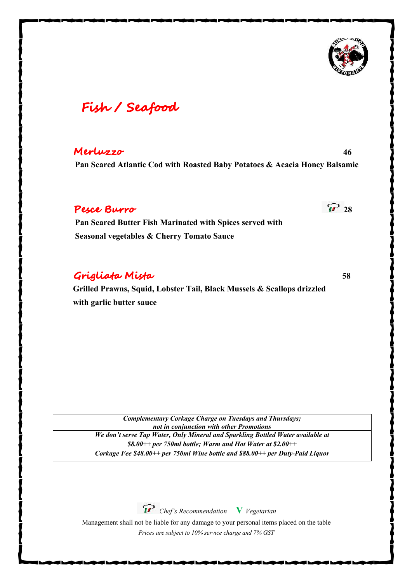

## **Fish / Seafood**

#### **Merluzzo 46**

 **Pan Seared Atlantic Cod with Roasted Baby Potatoes & Acacia Honey Balsamic** 

### **Pesce Burro 28**

 **Pan Seared Butter Fish Marinated with Spices served with Seasonal vegetables & Cherry Tomato Sauce**

### **Grigliata Mista 58**

 **Grilled Prawns, Squid, Lobster Tail, Black Mussels & Scallops drizzled with garlic butter sauce**

*Complementary Corkage Charge on Tuesdays and Thursdays; not in conjunction with other Promotions We don't serve Tap Water, Only Mineral and Sparkling Bottled Water available at \$8.00++ per 750ml bottle; Warm and Hot Water at \$2.00++ Corkage Fee \$48.00++ per 750ml Wine bottle and \$88.00++ per Duty-Paid Liquor*

*Chef's Recommendation* **V** *Vegetarian*

Management shall not be liable for any damage to your personal items placed on the table *Prices are subject to 10% service charge and 7% GST*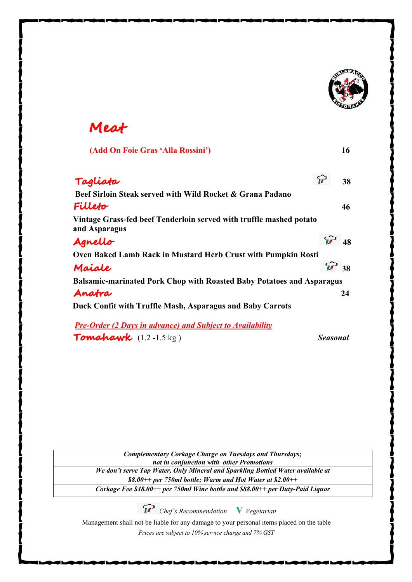

## **Meat**

| (Add On Foie Gras 'Alla Rossini')                                                    |                  | 16 |
|--------------------------------------------------------------------------------------|------------------|----|
| Tagliata                                                                             |                  | 38 |
| Beef Sirloin Steak served with Wild Rocket & Grana Padano                            |                  |    |
| Fillefo                                                                              |                  | 46 |
| Vintage Grass-fed beef Tenderloin served with truffle mashed potato<br>and Asparagus |                  |    |
| Agnello                                                                              |                  | 48 |
| Oven Baked Lamb Rack in Mustard Herb Crust with Pumpkin Rosti                        |                  |    |
| Maiale                                                                               | $\mathcal{P}$ 38 |    |
| <b>Balsamic-marinated Pork Chop with Roasted Baby Potatoes and Asparagus</b>         |                  |    |
| Anatra                                                                               |                  | 24 |
| Duck Confit with Truffle Mash, Asparagus and Baby Carrots                            |                  |    |
| <b>Pre-Order (2 Days in advance) and Subject to Availability</b>                     |                  |    |
| Tomahawk $(1.2 - 1.5 \text{ kg})$                                                    | <b>Seasonal</b>  |    |

*Complementary Corkage Charge on Tuesdays and Thursdays; not in conjunction with other Promotions We don't serve Tap Water, Only Mineral and Sparkling Bottled Water available at \$8.00++ per 750ml bottle; Warm and Hot Water at \$2.00++ Corkage Fee \$48.00++ per 750ml Wine bottle and \$88.00++ per Duty-Paid Liquor*

*Chef's Recommendation* **V** *Vegetarian*

Management shall not be liable for any damage to your personal items placed on the table

*Prices are subject to 10% service charge and 7% GST*